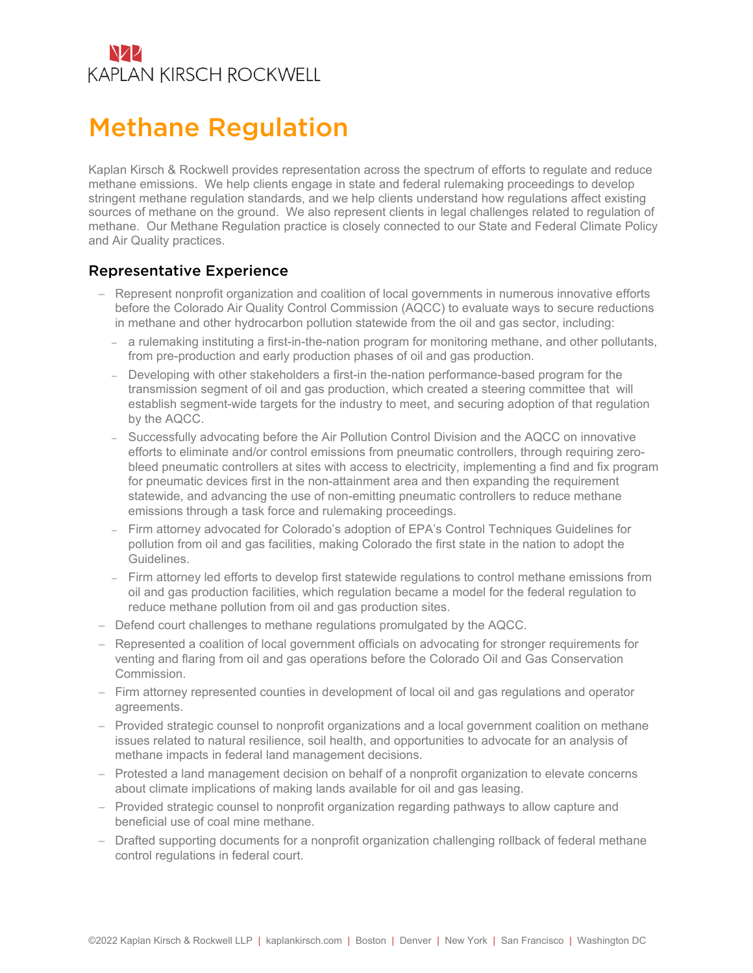## NZZ **KAPLAN KIRSCH ROCKWELL**

## Methane Regulation

Kaplan Kirsch & Rockwell provides representation across the spectrum of efforts to regulate and reduce methane emissions. We help clients engage in state and federal rulemaking proceedings to develop stringent methane regulation standards, and we help clients understand how regulations affect existing sources of methane on the ground. We also represent clients in legal challenges related to regulation of methane. Our Methane Regulation practice is closely connected to our State and Federal Climate Policy and Air Quality practices.

## Representative Experience

- Represent nonprofit organization and coalition of local governments in numerous innovative efforts before the Colorado Air Quality Control Commission (AQCC) to evaluate ways to secure reductions in methane and other hydrocarbon pollution statewide from the oil and gas sector, including:
	- a rulemaking instituting a first-in-the-nation program for monitoring methane, and other pollutants, from pre-production and early production phases of oil and gas production.
	- Developing with other stakeholders a first-in the-nation performance-based program for the transmission segment of oil and gas production, which created a steering committee that will establish segment-wide targets for the industry to meet, and securing adoption of that regulation by the AQCC.
	- Successfully advocating before the Air Pollution Control Division and the AQCC on innovative efforts to eliminate and/or control emissions from pneumatic controllers, through requiring zerobleed pneumatic controllers at sites with access to electricity, implementing a find and fix program for pneumatic devices first in the non-attainment area and then expanding the requirement statewide, and advancing the use of non-emitting pneumatic controllers to reduce methane emissions through a task force and rulemaking proceedings.
	- Firm attorney advocated for Colorado's adoption of EPA's Control Techniques Guidelines for pollution from oil and gas facilities, making Colorado the first state in the nation to adopt the Guidelines.
	- Firm attorney led efforts to develop first statewide regulations to control methane emissions from oil and gas production facilities, which regulation became a model for the federal regulation to reduce methane pollution from oil and gas production sites.
- Defend court challenges to methane regulations promulgated by the AQCC.
- Represented a coalition of local government officials on advocating for stronger requirements for venting and flaring from oil and gas operations before the Colorado Oil and Gas Conservation Commission.
- Firm attorney represented counties in development of local oil and gas regulations and operator agreements.
- Provided strategic counsel to nonprofit organizations and a local government coalition on methane issues related to natural resilience, soil health, and opportunities to advocate for an analysis of methane impacts in federal land management decisions.
- Protested a land management decision on behalf of a nonprofit organization to elevate concerns about climate implications of making lands available for oil and gas leasing.
- Provided strategic counsel to nonprofit organization regarding pathways to allow capture and beneficial use of coal mine methane.
- Drafted supporting documents for a nonprofit organization challenging rollback of federal methane control regulations in federal court.